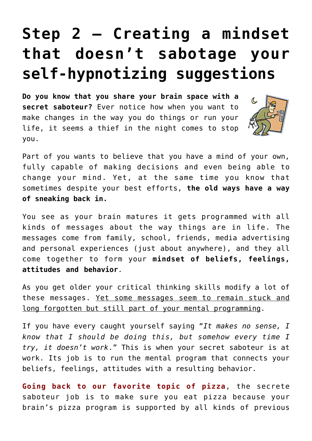## **[Step 2 – Creating a mindset](https://www.moneywomenandbrains.com/step-2-creating-a-mindset-that-doesnt-sabotage-your-self-hypnotizing-suggestions/) [that doesn't sabotage your](https://www.moneywomenandbrains.com/step-2-creating-a-mindset-that-doesnt-sabotage-your-self-hypnotizing-suggestions/) [self-hypnotizing suggestions](https://www.moneywomenandbrains.com/step-2-creating-a-mindset-that-doesnt-sabotage-your-self-hypnotizing-suggestions/)**

**Do you know that you share your brain space with a secret saboteur?** Ever notice how when you want to make changes in the way you do things or run your life, it seems a thief in the night comes to stop you.



Part of you wants to believe that you have a mind of your own, fully capable of making decisions and even being able to change your mind. Yet, at the same time you know that sometimes despite your best efforts, **the old ways have a way of sneaking back in.** 

You see as your brain matures it gets programmed with all kinds of messages about the way things are in life. The messages come from family, school, friends, media advertising and personal experiences (just about anywhere), and they all come together to form your **mindset of beliefs, feelings, attitudes and behavior**.

As you get older your critical thinking skills modify a lot of these messages. Yet some messages seem to remain stuck and long forgotten but still part of your mental programming.

If you have every caught yourself saying "*It makes no sense, I know that I should be doing this, but somehow every time I try, it doesn't work*." This is when your secret saboteur is at work. Its job is to run the mental program that connects your beliefs, feelings, attitudes with a resulting behavior.

**Going back to our favorite topic of pizza**, the secrete saboteur job is to make sure you eat pizza because your brain's pizza program is supported by all kinds of previous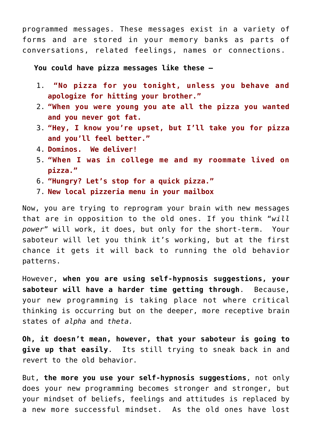programmed messages. These messages exist in a variety of forms and are stored in your memory banks as parts of conversations, related feelings, names or connections.

**You could have pizza messages like these –**

- 1. **"No pizza for you tonight, unless you behave and apologize for hitting your brother."**
- 2. **"When you were young you ate all the pizza you wanted and you never got fat.**
- 3. **"Hey, I know you're upset, but I'll take you for pizza and you'll feel better."**
- 4. **Dominos. We deliver!**
- 5. **"When I was in college me and my roommate lived on pizza."**
- 6. **"Hungry? Let's stop for a quick pizza."**
- 7. **New local pizzeria menu in your mailbox**

Now, you are trying to reprogram your brain with new messages that are in opposition to the old ones. If you think "*will power*" will work, it does, but only for the short-term. Your saboteur will let you think it's working, but at the first chance it gets it will back to running the old behavior patterns.

However, **when you are using self-hypnosis suggestions, your saboteur will have a harder time getting through**. Because, your new programming is taking place not where critical thinking is occurring but on the deeper, more receptive brain states of *alpha* and *theta.*

**Oh, it doesn't mean, however, that your saboteur is going to give up that easily**. Its still trying to sneak back in and revert to the old behavior.

But, **the more you use your self-hypnosis suggestions**, not only does your new programming becomes stronger and stronger, but your mindset of beliefs, feelings and attitudes is replaced by a new more successful mindset. As the old ones have lost